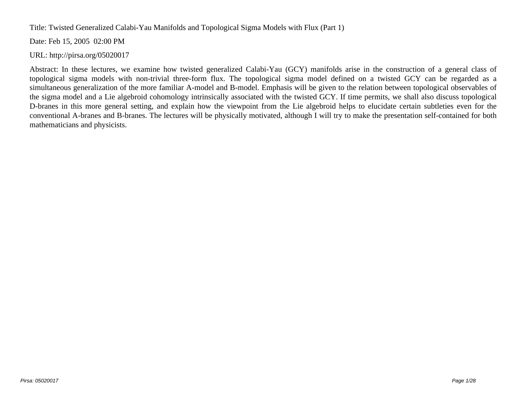## Title: Twisted Generalized Calabi-Yau Manifolds and Topological Sigma Models with Flux (Part 1)

Date: Feb 15, 2005 02:00 PM

URL: http://pirsa.org/05020017

Abstract: In these lectures, we examine how twisted generalized Calabi-Yau (GCY) manifolds arise in the construction of a general class of topological sigma models with non-trivial three-form flux. The topological sigma model defined on a twisted GCY can be regarded as a simultaneous generalization of the more familiar A-model and B-model. Emphasis will be given to the relation between topological observables of the sigma model and a Lie algebroid cohomology intrinsically associated with the twisted GCY. If time permits, we shall also discuss topological D-branes in this more general setting, and explain how the viewpoint from the Lie algebroid helps to elucidate certain subtleties even for the conventional A-branes and B-branes. The lectures will be physically motivated, although I will try to make the presentation self-contained for both mathematicians and physicists.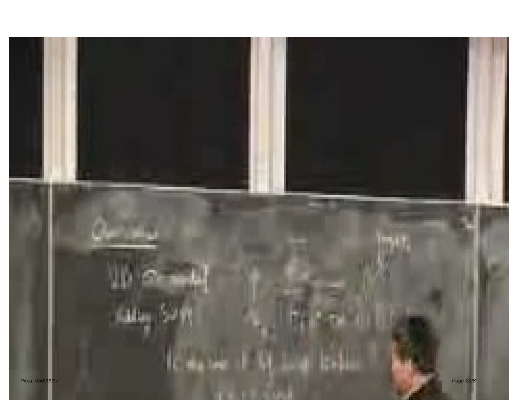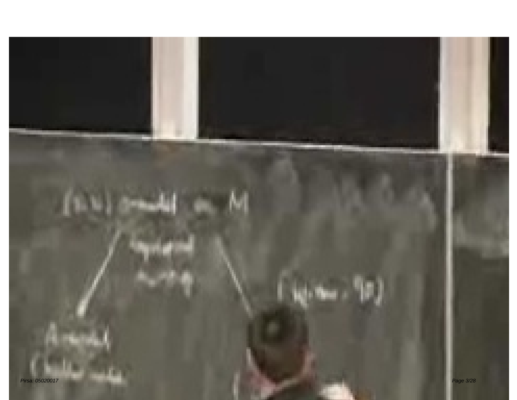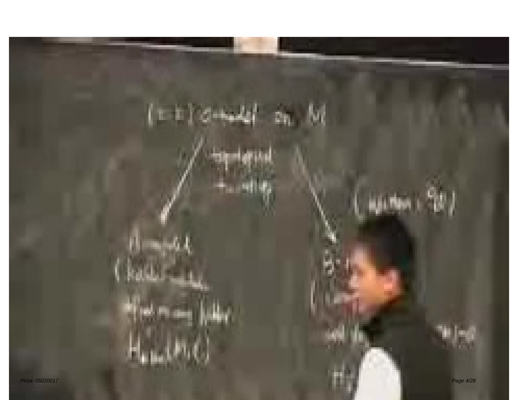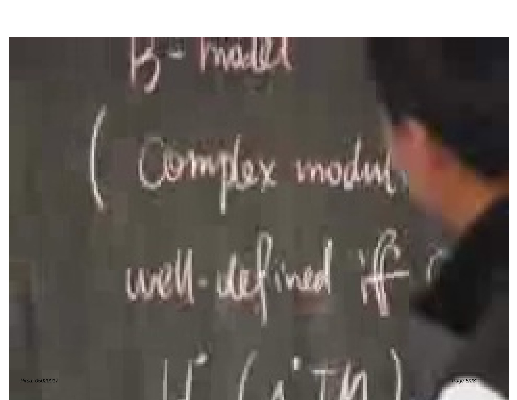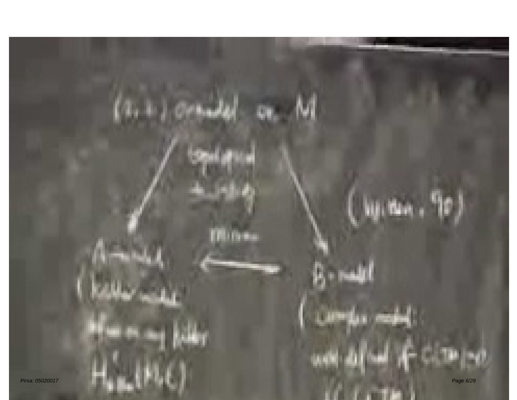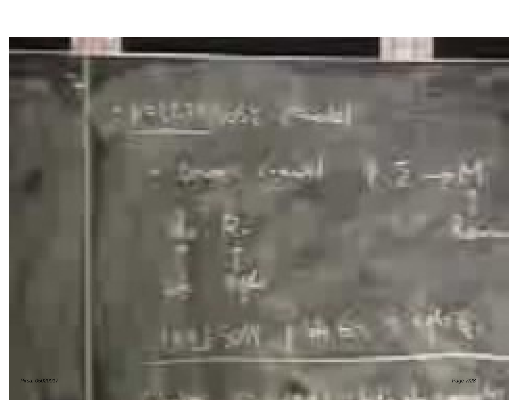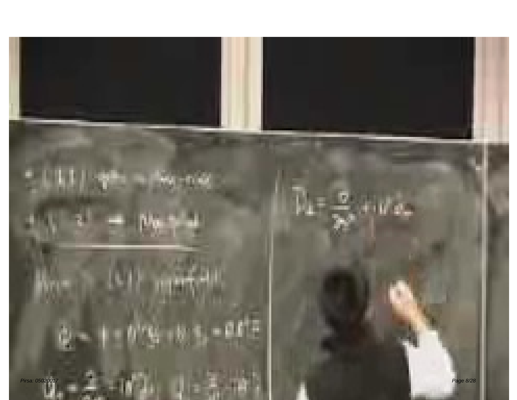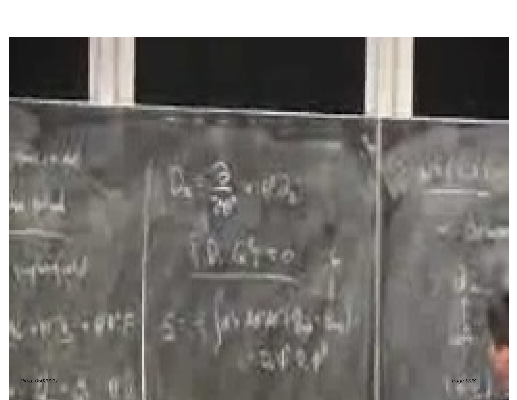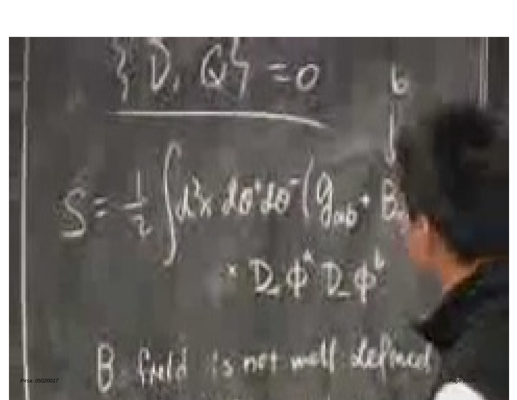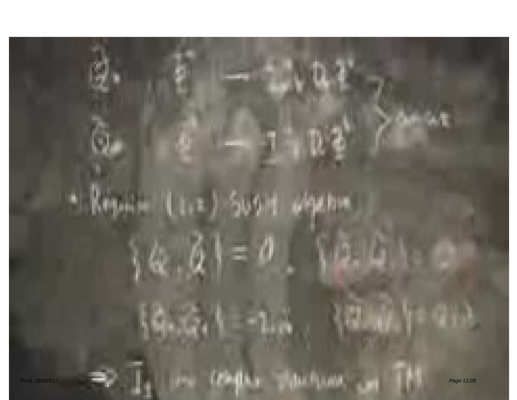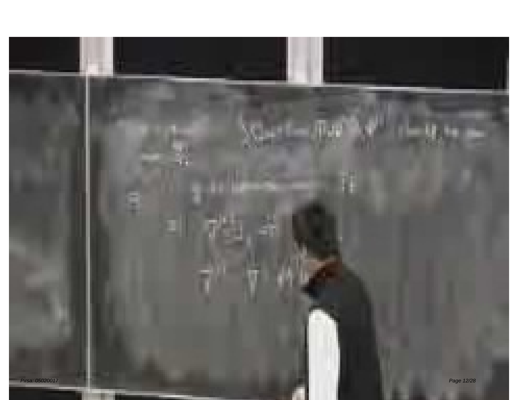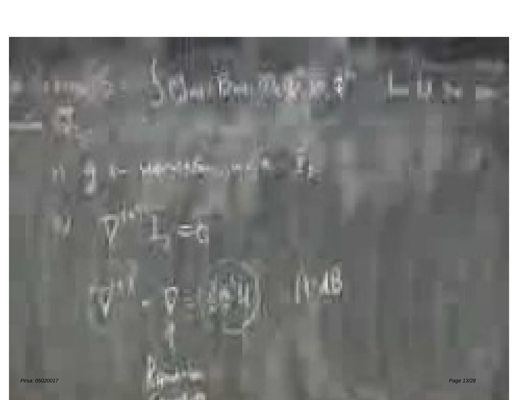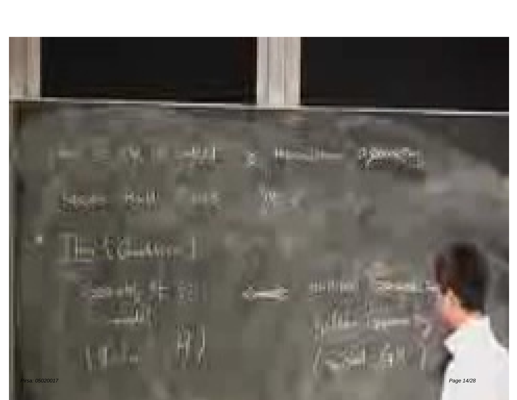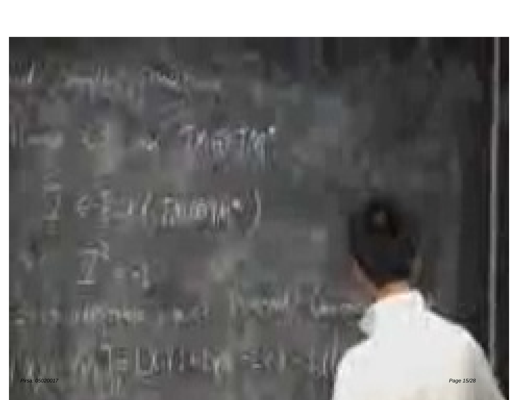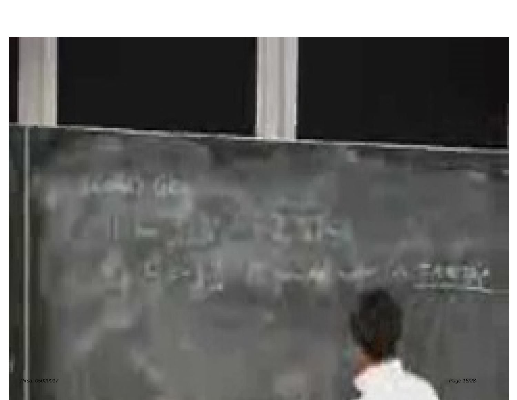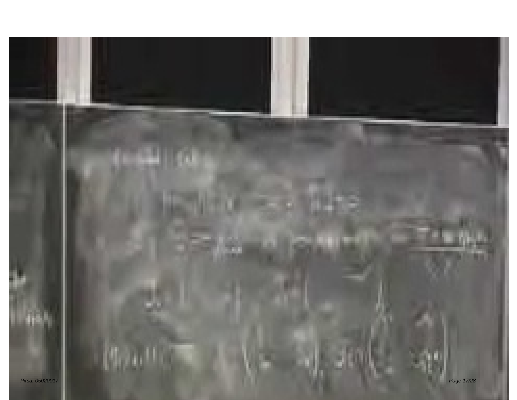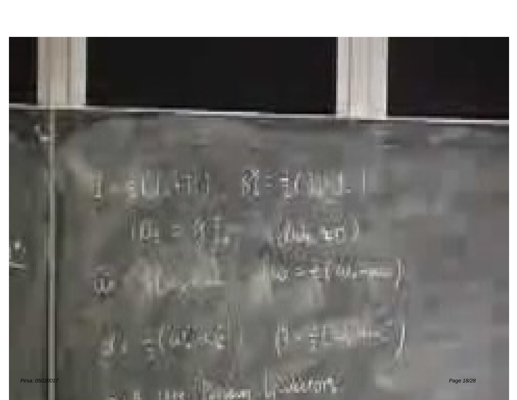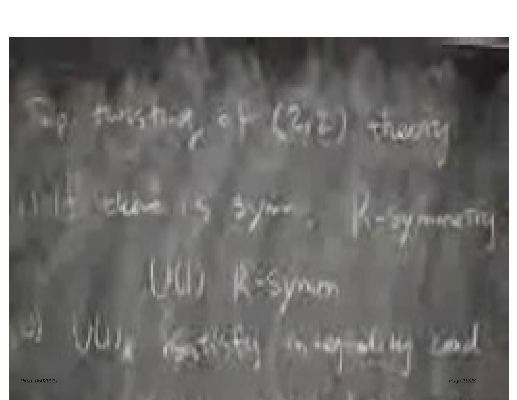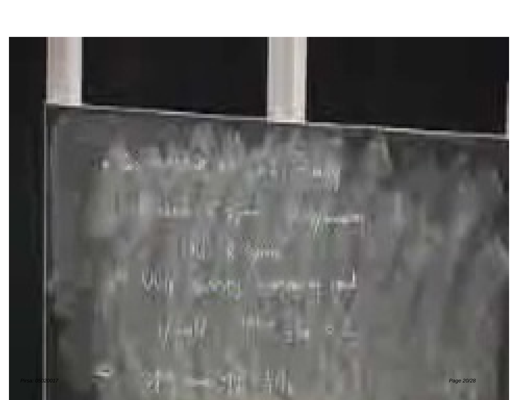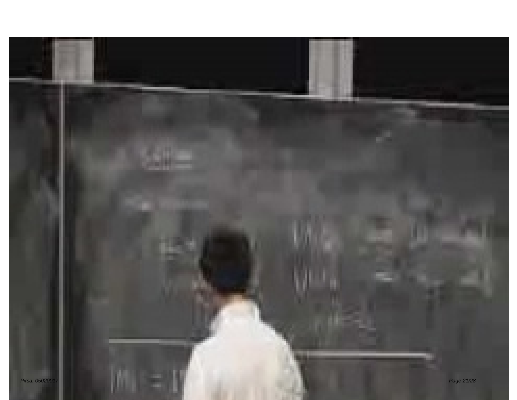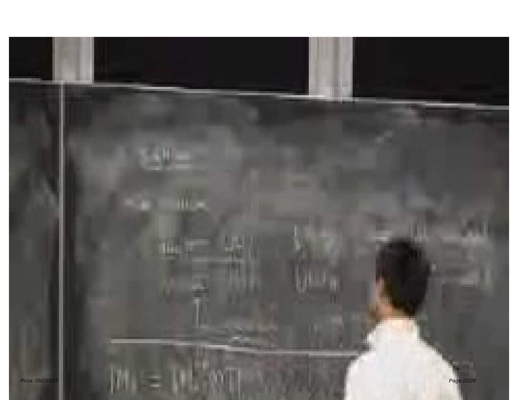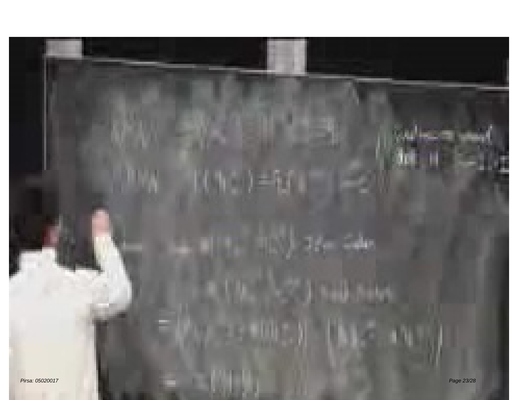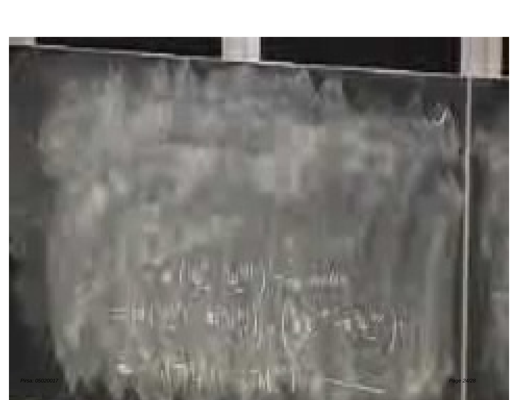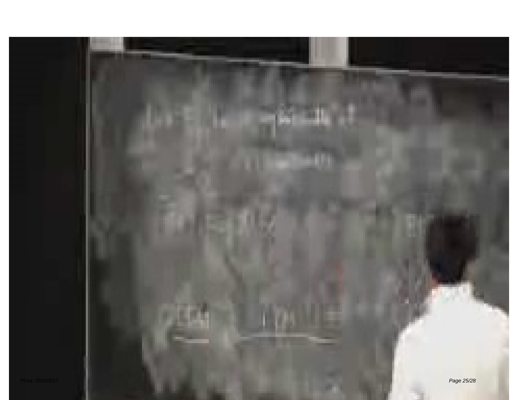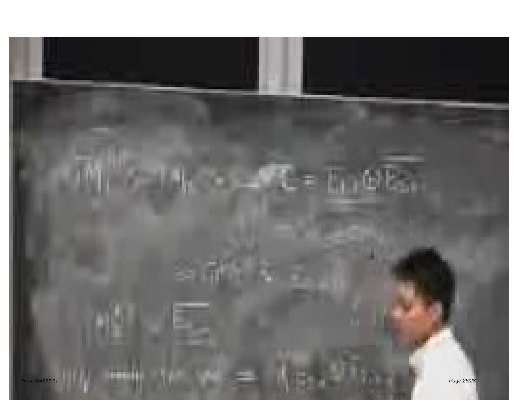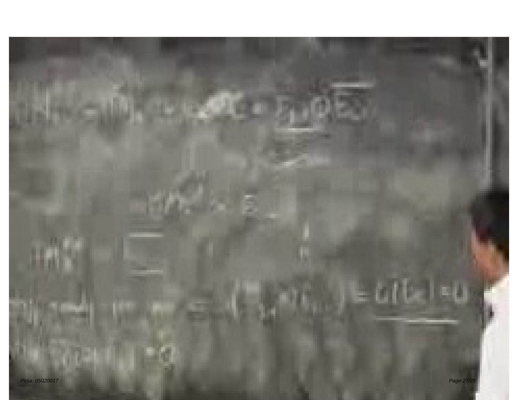